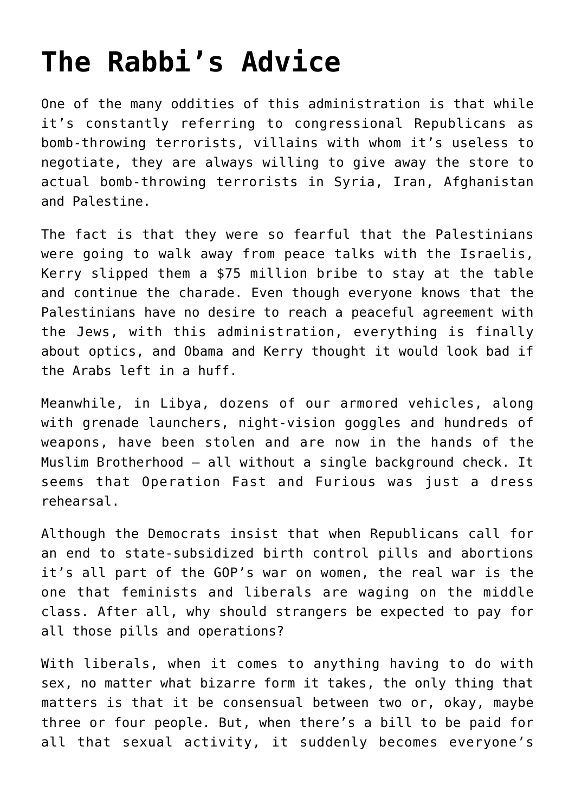## **[The Rabbi's Advice](https://bernardgoldberg.com/rabbis-advice/)**

One of the many oddities of this administration is that while it's constantly referring to congressional Republicans as bomb-throwing terrorists, villains with whom it's useless to negotiate, they are always willing to give away the store to actual bomb-throwing terrorists in Syria, Iran, Afghanistan and Palestine.

The fact is that they were so fearful that the Palestinians were going to walk away from peace talks with the Israelis, Kerry slipped them a \$75 million bribe to stay at the table and continue the charade. Even though everyone knows that the Palestinians have no desire to reach a peaceful agreement with the Jews, with this administration, everything is finally about optics, and Obama and Kerry thought it would look bad if the Arabs left in a huff.

Meanwhile, in Libya, dozens of our armored vehicles, along with grenade launchers, night-vision goggles and hundreds of weapons, have been stolen and are now in the hands of the Muslim Brotherhood – all without a single background check. It seems that Operation Fast and Furious was just a dress rehearsal.

Although the Democrats insist that when Republicans call for an end to state-subsidized birth control pills and abortions it's all part of the GOP's war on women, the real war is the one that feminists and liberals are waging on the middle class. After all, why should strangers be expected to pay for all those pills and operations?

With liberals, when it comes to anything having to do with sex, no matter what bizarre form it takes, the only thing that matters is that it be consensual between two or, okay, maybe three or four people. But, when there's a bill to be paid for all that sexual activity, it suddenly becomes everyone's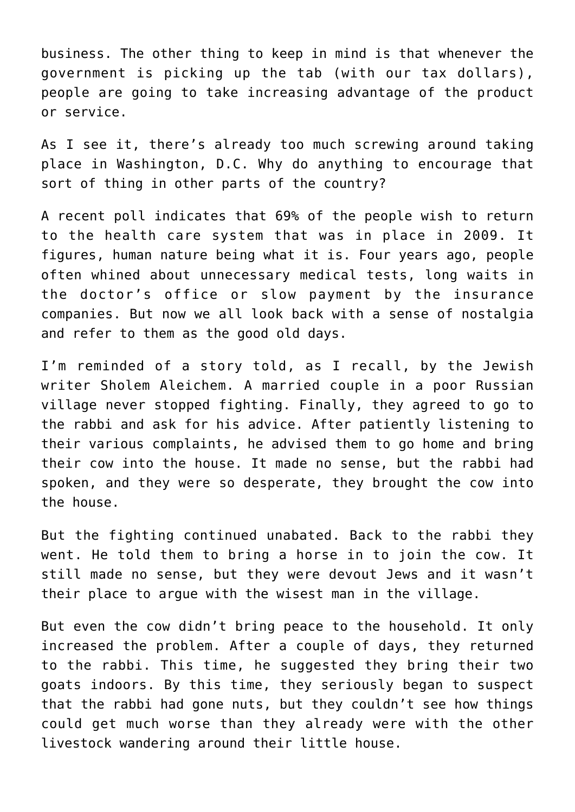business. The other thing to keep in mind is that whenever the government is picking up the tab (with our tax dollars), people are going to take increasing advantage of the product or service.

As I see it, there's already too much screwing around taking place in Washington, D.C. Why do anything to encourage that sort of thing in other parts of the country?

A recent poll indicates that 69% of the people wish to return to the health care system that was in place in 2009. It figures, human nature being what it is. Four years ago, people often whined about unnecessary medical tests, long waits in the doctor's office or slow payment by the insurance companies. But now we all look back with a sense of nostalgia and refer to them as the good old days.

I'm reminded of a story told, as I recall, by the Jewish writer Sholem Aleichem. A married couple in a poor Russian village never stopped fighting. Finally, they agreed to go to the rabbi and ask for his advice. After patiently listening to their various complaints, he advised them to go home and bring their cow into the house. It made no sense, but the rabbi had spoken, and they were so desperate, they brought the cow into the house.

But the fighting continued unabated. Back to the rabbi they went. He told them to bring a horse in to join the cow. It still made no sense, but they were devout Jews and it wasn't their place to argue with the wisest man in the village.

But even the cow didn't bring peace to the household. It only increased the problem. After a couple of days, they returned to the rabbi. This time, he suggested they bring their two goats indoors. By this time, they seriously began to suspect that the rabbi had gone nuts, but they couldn't see how things could get much worse than they already were with the other livestock wandering around their little house.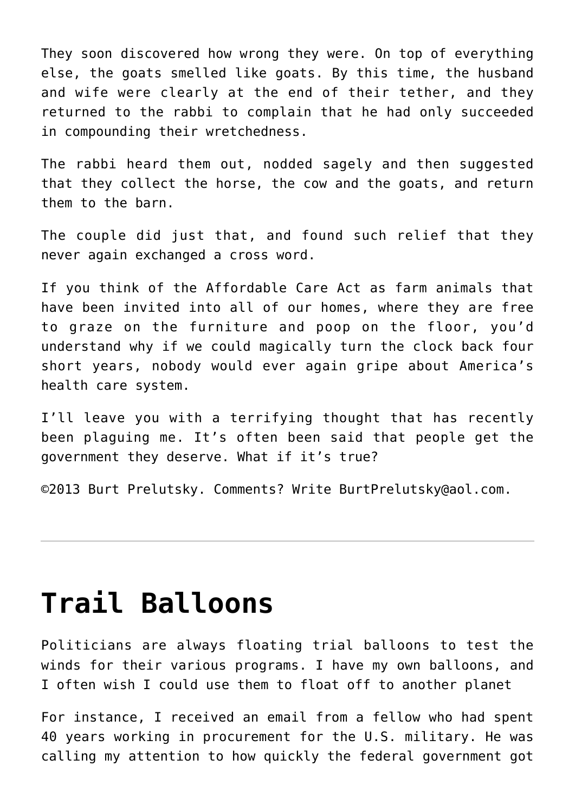They soon discovered how wrong they were. On top of everything else, the goats smelled like goats. By this time, the husband and wife were clearly at the end of their tether, and they returned to the rabbi to complain that he had only succeeded in compounding their wretchedness.

The rabbi heard them out, nodded sagely and then suggested that they collect the horse, the cow and the goats, and return them to the barn.

The couple did just that, and found such relief that they never again exchanged a cross word.

If you think of the Affordable Care Act as farm animals that have been invited into all of our homes, where they are free to graze on the furniture and poop on the floor, you'd understand why if we could magically turn the clock back four short years, nobody would ever again gripe about America's health care system.

I'll leave you with a terrifying thought that has recently been plaguing me. It's often been said that people get the government they deserve. What if it's true?

©2013 [Burt Prelutsky](mailto:BurtPrelutsky@aol.com/). Comments? Write [BurtPrelutsky@aol.com](mailto:BurtPrelutsky@aol.com/).

## **[Trail Balloons](https://bernardgoldberg.com/trail-balloons/)**

Politicians are always floating trial balloons to test the winds for their various programs. I have my own balloons, and I often wish I could use them to float off to another planet

For instance, I received an email from a fellow who had spent 40 years working in procurement for the U.S. military. He was calling my attention to how quickly the federal government got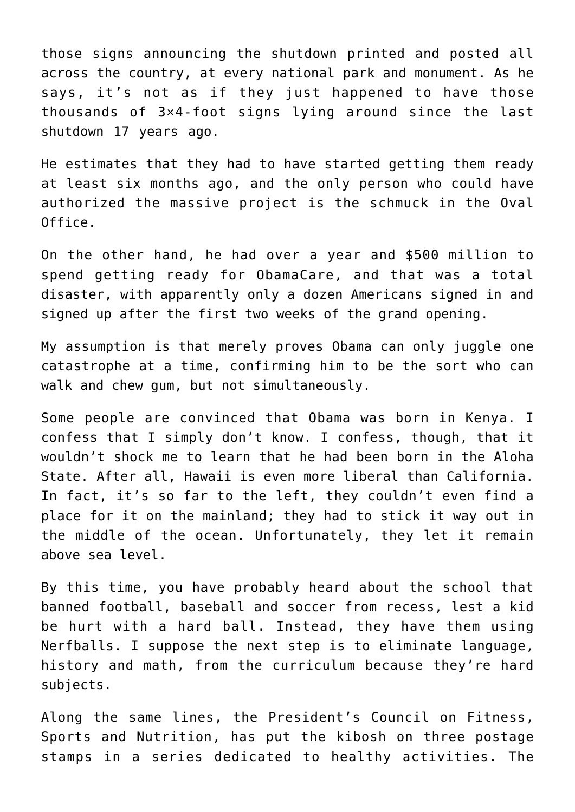those signs announcing the shutdown printed and posted all across the country, at every national park and monument. As he says, it's not as if they just happened to have those thousands of 3×4-foot signs lying around since the last shutdown 17 years ago.

He estimates that they had to have started getting them ready at least six months ago, and the only person who could have authorized the massive project is the schmuck in the Oval Office.

On the other hand, he had over a year and \$500 million to spend getting ready for ObamaCare, and that was a total disaster, with apparently only a dozen Americans signed in and signed up after the first two weeks of the grand opening.

My assumption is that merely proves Obama can only juggle one catastrophe at a time, confirming him to be the sort who can walk and chew gum, but not simultaneously.

Some people are convinced that Obama was born in Kenya. I confess that I simply don't know. I confess, though, that it wouldn't shock me to learn that he had been born in the Aloha State. After all, Hawaii is even more liberal than California. In fact, it's so far to the left, they couldn't even find a place for it on the mainland; they had to stick it way out in the middle of the ocean. Unfortunately, they let it remain above sea level.

By this time, you have probably heard about the school that banned football, baseball and soccer from recess, lest a kid be hurt with a hard ball. Instead, they have them using Nerfballs. I suppose the next step is to eliminate language, history and math, from the curriculum because they're hard subjects.

Along the same lines, the President's Council on Fitness, Sports and Nutrition, has put the kibosh on three postage stamps in a series dedicated to healthy activities. The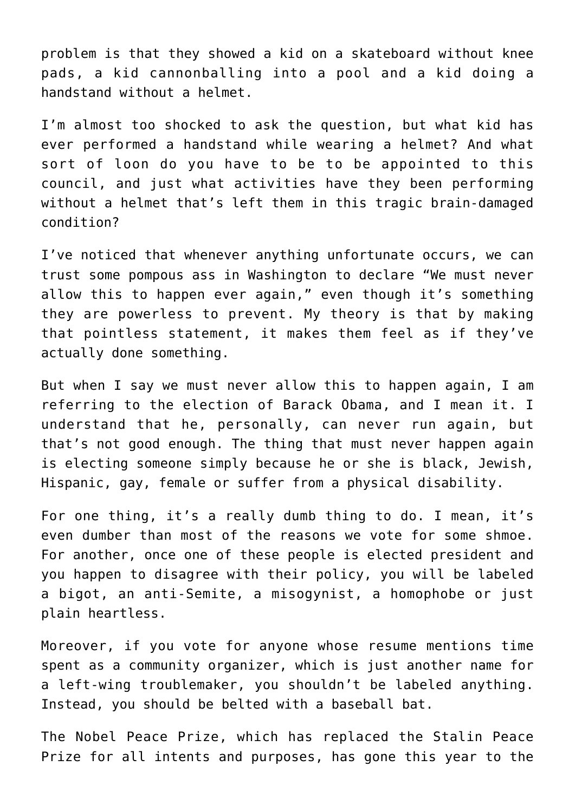problem is that they showed a kid on a skateboard without knee pads, a kid cannonballing into a pool and a kid doing a handstand without a helmet.

I'm almost too shocked to ask the question, but what kid has ever performed a handstand while wearing a helmet? And what sort of loon do you have to be to be appointed to this council, and just what activities have they been performing without a helmet that's left them in this tragic brain-damaged condition?

I've noticed that whenever anything unfortunate occurs, we can trust some pompous ass in Washington to declare "We must never allow this to happen ever again," even though it's something they are powerless to prevent. My theory is that by making that pointless statement, it makes them feel as if they've actually done something.

But when I say we must never allow this to happen again, I am referring to the election of Barack Obama, and I mean it. I understand that he, personally, can never run again, but that's not good enough. The thing that must never happen again is electing someone simply because he or she is black, Jewish, Hispanic, gay, female or suffer from a physical disability.

For one thing, it's a really dumb thing to do. I mean, it's even dumber than most of the reasons we vote for some shmoe. For another, once one of these people is elected president and you happen to disagree with their policy, you will be labeled a bigot, an anti-Semite, a misogynist, a homophobe or just plain heartless.

Moreover, if you vote for anyone whose resume mentions time spent as a community organizer, which is just another name for a left-wing troublemaker, you shouldn't be labeled anything. Instead, you should be belted with a baseball bat.

The Nobel Peace Prize, which has replaced the Stalin Peace Prize for all intents and purposes, has gone this year to the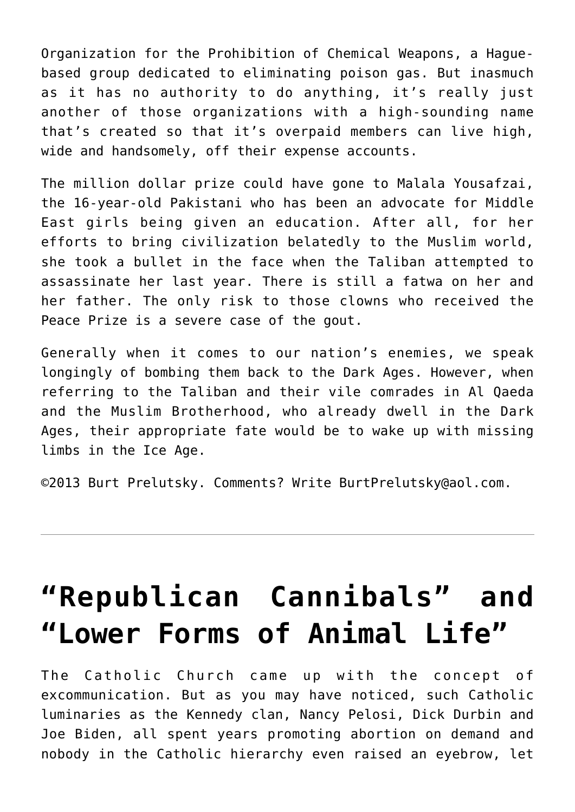Organization for the Prohibition of Chemical Weapons, a Haguebased group dedicated to eliminating poison gas. But inasmuch as it has no authority to do anything, it's really just another of those organizations with a high-sounding name that's created so that it's overpaid members can live high, wide and handsomely, off their expense accounts.

The million dollar prize could have gone to Malala Yousafzai, the 16-year-old Pakistani who has been an advocate for Middle East girls being given an education. After all, for her efforts to bring civilization belatedly to the Muslim world, she took a bullet in the face when the Taliban attempted to assassinate her last year. There is still a fatwa on her and her father. The only risk to those clowns who received the Peace Prize is a severe case of the gout.

Generally when it comes to our nation's enemies, we speak longingly of bombing them back to the Dark Ages. However, when referring to the Taliban and their vile comrades in Al Qaeda and the Muslim Brotherhood, who already dwell in the Dark Ages, their appropriate fate would be to wake up with missing limbs in the Ice Age.

©2013 [Burt Prelutsky](mailto:BurtPrelutsky@aol.com/). Comments? Write [BurtPrelutsky@aol.com](mailto:BurtPrelutsky@aol.com/).

## **["Republican Cannibals" and](https://bernardgoldberg.com/open-2/) ["Lower Forms of Animal Life"](https://bernardgoldberg.com/open-2/)**

The Catholic Church came up with the concept of excommunication. But as you may have noticed, such Catholic luminaries as the Kennedy clan, Nancy Pelosi, Dick Durbin and Joe Biden, all spent years promoting abortion on demand and nobody in the Catholic hierarchy even raised an eyebrow, let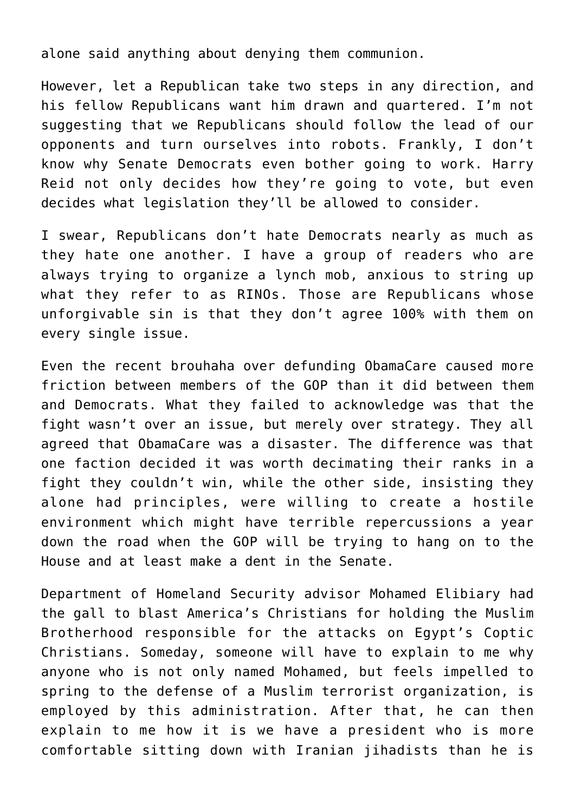alone said anything about denying them communion.

However, let a Republican take two steps in any direction, and his fellow Republicans want him drawn and quartered. I'm not suggesting that we Republicans should follow the lead of our opponents and turn ourselves into robots. Frankly, I don't know why Senate Democrats even bother going to work. Harry Reid not only decides how they're going to vote, but even decides what legislation they'll be allowed to consider.

I swear, Republicans don't hate Democrats nearly as much as they hate one another. I have a group of readers who are always trying to organize a lynch mob, anxious to string up what they refer to as RINOs. Those are Republicans whose unforgivable sin is that they don't agree 100% with them on every single issue.

Even the recent brouhaha over defunding ObamaCare caused more friction between members of the GOP than it did between them and Democrats. What they failed to acknowledge was that the fight wasn't over an issue, but merely over strategy. They all agreed that ObamaCare was a disaster. The difference was that one faction decided it was worth decimating their ranks in a fight they couldn't win, while the other side, insisting they alone had principles, were willing to create a hostile environment which might have terrible repercussions a year down the road when the GOP will be trying to hang on to the House and at least make a dent in the Senate.

Department of Homeland Security advisor Mohamed Elibiary had the gall to blast America's Christians for holding the Muslim Brotherhood responsible for the attacks on Egypt's Coptic Christians. Someday, someone will have to explain to me why anyone who is not only named Mohamed, but feels impelled to spring to the defense of a Muslim terrorist organization, is employed by this administration. After that, he can then explain to me how it is we have a president who is more comfortable sitting down with Iranian jihadists than he is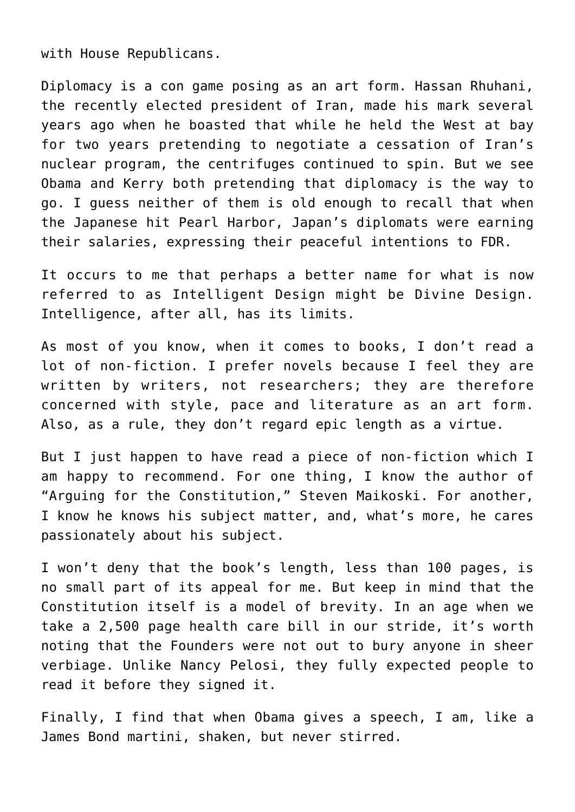with House Republicans.

Diplomacy is a con game posing as an art form. Hassan Rhuhani, the recently elected president of Iran, made his mark several years ago when he boasted that while he held the West at bay for two years pretending to negotiate a cessation of Iran's nuclear program, the centrifuges continued to spin. But we see Obama and Kerry both pretending that diplomacy is the way to go. I guess neither of them is old enough to recall that when the Japanese hit Pearl Harbor, Japan's diplomats were earning their salaries, expressing their peaceful intentions to FDR.

It occurs to me that perhaps a better name for what is now referred to as Intelligent Design might be Divine Design. Intelligence, after all, has its limits.

As most of you know, when it comes to books, I don't read a lot of non-fiction. I prefer novels because I feel they are written by writers, not researchers; they are therefore concerned with style, pace and literature as an art form. Also, as a rule, they don't regard epic length as a virtue.

But I just happen to have read a piece of non-fiction which I am happy to recommend. For one thing, I know the author of "Arguing for the Constitution," Steven Maikoski. For another, I know he knows his subject matter, and, what's more, he cares passionately about his subject.

I won't deny that the book's length, less than 100 pages, is no small part of its appeal for me. But keep in mind that the Constitution itself is a model of brevity. In an age when we take a 2,500 page health care bill in our stride, it's worth noting that the Founders were not out to bury anyone in sheer verbiage. Unlike Nancy Pelosi, they fully expected people to read it before they signed it.

Finally, I find that when Obama gives a speech, I am, like a James Bond martini, shaken, but never stirred.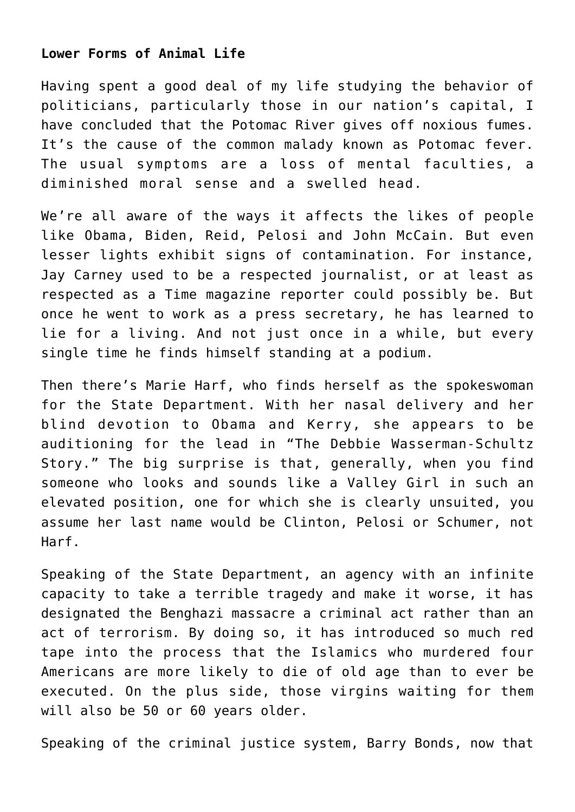## **Lower Forms of Animal Life**

Having spent a good deal of my life studying the behavior of politicians, particularly those in our nation's capital, I have concluded that the Potomac River gives off noxious fumes. It's the cause of the common malady known as Potomac fever. The usual symptoms are a loss of mental faculties, a diminished moral sense and a swelled head.

We're all aware of the ways it affects the likes of people like Obama, Biden, Reid, Pelosi and John McCain. But even lesser lights exhibit signs of contamination. For instance, Jay Carney used to be a respected journalist, or at least as respected as a Time magazine reporter could possibly be. But once he went to work as a press secretary, he has learned to lie for a living. And not just once in a while, but every single time he finds himself standing at a podium.

Then there's Marie Harf, who finds herself as the spokeswoman for the State Department. With her nasal delivery and her blind devotion to Obama and Kerry, she appears to be auditioning for the lead in "The Debbie Wasserman-Schultz Story." The big surprise is that, generally, when you find someone who looks and sounds like a Valley Girl in such an elevated position, one for which she is clearly unsuited, you assume her last name would be Clinton, Pelosi or Schumer, not Harf.

Speaking of the State Department, an agency with an infinite capacity to take a terrible tragedy and make it worse, it has designated the Benghazi massacre a criminal act rather than an act of terrorism. By doing so, it has introduced so much red tape into the process that the Islamics who murdered four Americans are more likely to die of old age than to ever be executed. On the plus side, those virgins waiting for them will also be 50 or 60 years older.

Speaking of the criminal justice system, Barry Bonds, now that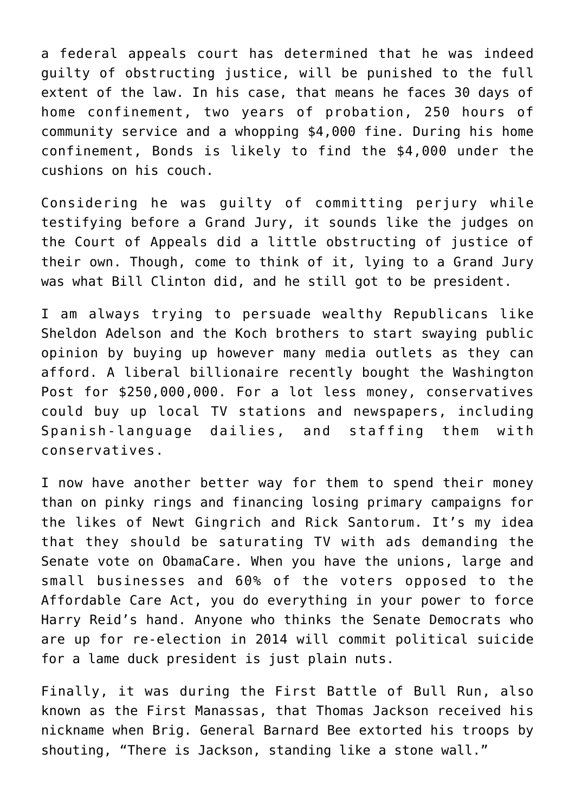a federal appeals court has determined that he was indeed guilty of obstructing justice, will be punished to the full extent of the law. In his case, that means he faces 30 days of home confinement, two years of probation, 250 hours of community service and a whopping \$4,000 fine. During his home confinement, Bonds is likely to find the \$4,000 under the cushions on his couch.

Considering he was guilty of committing perjury while testifying before a Grand Jury, it sounds like the judges on the Court of Appeals did a little obstructing of justice of their own. Though, come to think of it, lying to a Grand Jury was what Bill Clinton did, and he still got to be president.

I am always trying to persuade wealthy Republicans like Sheldon Adelson and the Koch brothers to start swaying public opinion by buying up however many media outlets as they can afford. A liberal billionaire recently bought the Washington Post for \$250,000,000. For a lot less money, conservatives could buy up local TV stations and newspapers, including Spanish-language dailies, and staffing them with conservatives.

I now have another better way for them to spend their money than on pinky rings and financing losing primary campaigns for the likes of Newt Gingrich and Rick Santorum. It's my idea that they should be saturating TV with ads demanding the Senate vote on ObamaCare. When you have the unions, large and small businesses and 60% of the voters opposed to the Affordable Care Act, you do everything in your power to force Harry Reid's hand. Anyone who thinks the Senate Democrats who are up for re-election in 2014 will commit political suicide for a lame duck president is just plain nuts.

Finally, it was during the First Battle of Bull Run, also known as the First Manassas, that Thomas Jackson received his nickname when Brig. General Barnard Bee extorted his troops by shouting, "There is Jackson, standing like a stone wall."